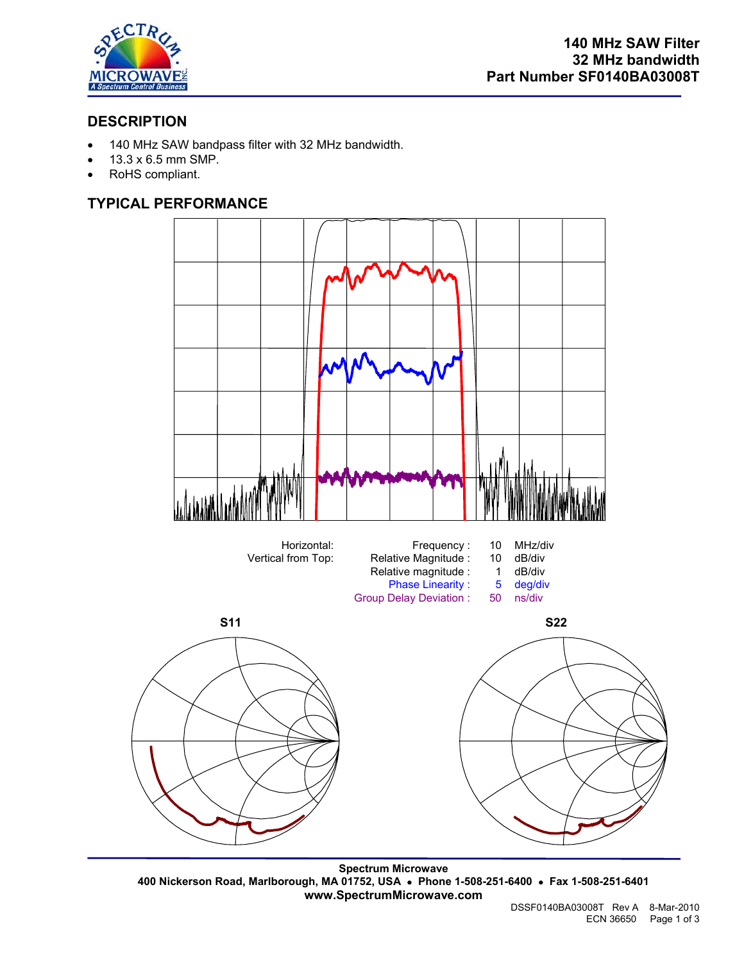

## **DESCRIPTION**

- 140 MHz SAW bandpass filter with 32 MHz bandwidth.
- 13.3 x 6.5 mm SMP.
- RoHS compliant.

### **TYPICAL PERFORMANCE**



**Spectrum Microwave 400 Nickerson Road, Marlborough, MA 01752, USA** • **Phone 1-508-251-6400** • **Fax 1-508-251-6401 www.SpectrumMicrowave.com**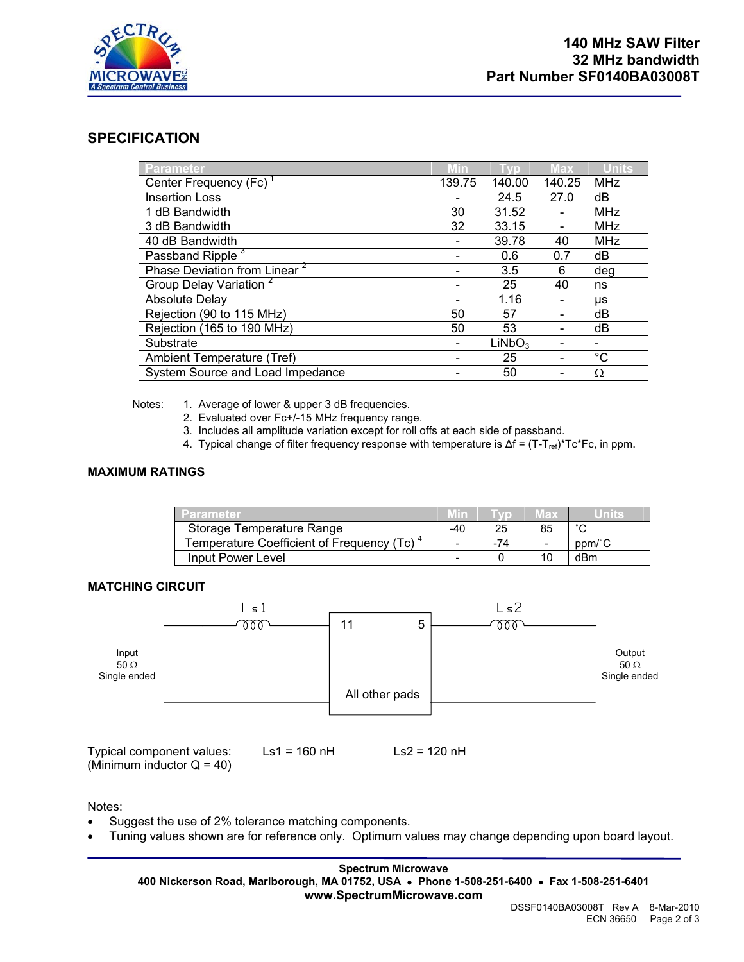

### **SPECIFICATION**

| Parameter                                | Min    | 70                 | <b>Max</b> | <b>Units</b> |
|------------------------------------------|--------|--------------------|------------|--------------|
| Center Frequency (Fc)                    | 139.75 | 140.00             | 140.25     | <b>MHz</b>   |
| <b>Insertion Loss</b>                    |        | 24.5               | 27.0       | dB           |
| 1 dB Bandwidth                           | 30     | 31.52              |            | MHz          |
| 3 dB Bandwidth                           | 32     | 33.15              |            | MHz          |
| 40 dB Bandwidth                          |        | 39.78              | 40         | MHz          |
| Passband Ripple <sup>3</sup>             |        | 0.6                | 0.7        | dB           |
| Phase Deviation from Linear <sup>2</sup> |        | 3.5                | 6          | deg          |
| Group Delay Variation <sup>2</sup>       |        | 25                 | 40         | ns           |
| <b>Absolute Delay</b>                    |        | 1.16               |            | μs           |
| Rejection (90 to 115 MHz)                | 50     | 57                 |            | dB           |
| Rejection (165 to 190 MHz)               | 50     | 53                 |            | dB           |
| Substrate                                |        | LiNbO <sub>3</sub> |            |              |
| Ambient Temperature (Tref)               |        | 25                 |            | $^{\circ}C$  |
| System Source and Load Impedance         |        | 50                 |            | Ω            |

Notes: 1. Average of lower & upper 3 dB frequencies.

- 2. Evaluated over Fc+/-15 MHz frequency range.
- 3. Includes all amplitude variation except for roll offs at each side of passband.
- 4. Typical change of filter frequency response with temperature is Δf = (T-T<sub>ref)</sub>\*Tc\*Fc, in ppm.

### **MAXIMUM RATINGS**

| Parameter                                              |                          |     | $\sim$ (a) $\sim$        |        |
|--------------------------------------------------------|--------------------------|-----|--------------------------|--------|
| Storage Temperature Range                              | -40                      | 25  | 85                       |        |
| Temperature Coefficient of Frequency (Tc) <sup>4</sup> | $\overline{\phantom{0}}$ | -74 | $\overline{\phantom{0}}$ | ppm/°C |
| Input Power Level                                      |                          |     |                          | dBm    |

### **MATCHING CIRCUIT**



Typical component values: Ls1 = 160 nH Ls2 = 120 nH (Minimum inductor  $Q = 40$ )

Notes:

- Suggest the use of 2% tolerance matching components.
- Tuning values shown are for reference only. Optimum values may change depending upon board layout.

#### **Spectrum Microwave 400 Nickerson Road, Marlborough, MA 01752, USA** • **Phone 1-508-251-6400** • **Fax 1-508-251-6401 www.SpectrumMicrowave.com**